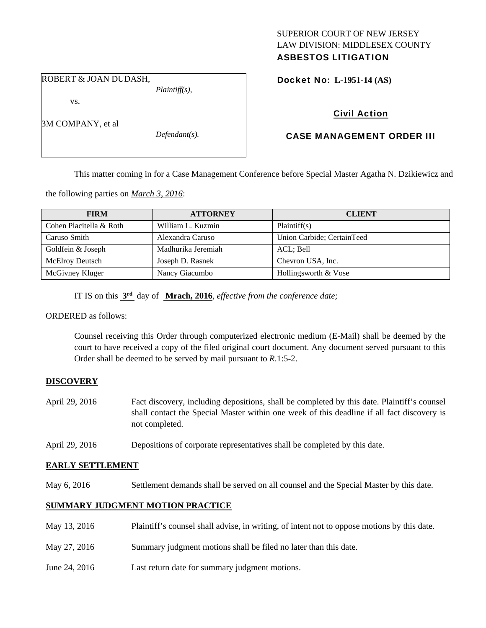# SUPERIOR COURT OF NEW JERSEY LAW DIVISION: MIDDLESEX COUNTY

# ASBESTOS LITIGATION

ROBERT & JOAN DUDASH,

vs.

3M COMPANY, et al

*Defendant(s).* 

*Plaintiff(s),* 

Docket No: **L-1951-14 (AS)** 

# Civil Action

# CASE MANAGEMENT ORDER III

This matter coming in for a Case Management Conference before Special Master Agatha N. Dzikiewicz and

the following parties on *March 3, 2016*:

| <b>FIRM</b>             | <b>ATTORNEY</b>    | <b>CLIENT</b>              |
|-------------------------|--------------------|----------------------------|
| Cohen Placitella & Roth | William L. Kuzmin  | Plaintiff(s)               |
| Caruso Smith            | Alexandra Caruso   | Union Carbide; CertainTeed |
| Goldfein & Joseph       | Madhurika Jeremiah | ACL; Bell                  |
| <b>McElroy Deutsch</b>  | Joseph D. Rasnek   | Chevron USA, Inc.          |
| McGivney Kluger         | Nancy Giacumbo     | Hollingsworth & Vose       |

IT IS on this **3rd** day of **Mrach, 2016**, *effective from the conference date;*

ORDERED as follows:

Counsel receiving this Order through computerized electronic medium (E-Mail) shall be deemed by the court to have received a copy of the filed original court document. Any document served pursuant to this Order shall be deemed to be served by mail pursuant to *R*.1:5-2.

## **DISCOVERY**

- April 29, 2016 Fact discovery, including depositions, shall be completed by this date. Plaintiff's counsel shall contact the Special Master within one week of this deadline if all fact discovery is not completed.
- April 29, 2016 Depositions of corporate representatives shall be completed by this date.

### **EARLY SETTLEMENT**

May 6, 2016 Settlement demands shall be served on all counsel and the Special Master by this date.

## **SUMMARY JUDGMENT MOTION PRACTICE**

| May 13, 2016  | Plaintiff's counsel shall advise, in writing, of intent not to oppose motions by this date. |
|---------------|---------------------------------------------------------------------------------------------|
| May 27, 2016  | Summary judgment motions shall be filed no later than this date.                            |
| June 24, 2016 | Last return date for summary judgment motions.                                              |